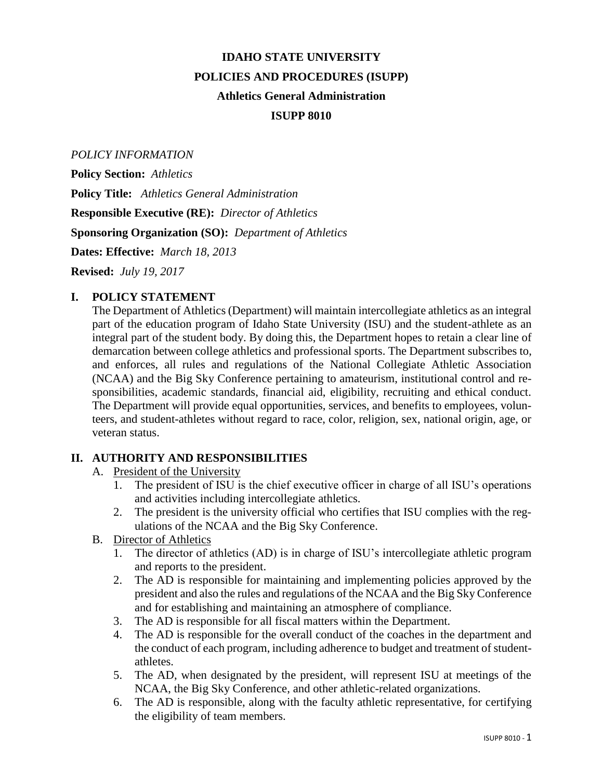# **IDAHO STATE UNIVERSITY POLICIES AND PROCEDURES (ISUPP) Athletics General Administration ISUPP 8010**

#### *POLICY INFORMATION*

**Policy Section:** *Athletics* **Policy Title:** *Athletics General Administration* **Responsible Executive (RE):** *Director of Athletics* **Sponsoring Organization (SO):** *Department of Athletics*

**Dates: Effective:** *March 18, 2013*

**Revised:** *July 19, 2017*

#### **I. POLICY STATEMENT**

The Department of Athletics (Department) will maintain intercollegiate athletics as an integral part of the education program of Idaho State University (ISU) and the student-athlete as an integral part of the student body. By doing this, the Department hopes to retain a clear line of demarcation between college athletics and professional sports. The Department subscribes to, and enforces, all rules and regulations of the National Collegiate Athletic Association (NCAA) and the Big Sky Conference pertaining to amateurism, institutional control and responsibilities, academic standards, financial aid, eligibility, recruiting and ethical conduct. The Department will provide equal opportunities, services, and benefits to employees, volunteers, and student-athletes without regard to race, color, religion, sex, national origin, age, or veteran status.

### **II. AUTHORITY AND RESPONSIBILITIES**

- A. President of the University
	- 1. The president of ISU is the chief executive officer in charge of all ISU's operations and activities including intercollegiate athletics.
	- 2. The president is the university official who certifies that ISU complies with the regulations of the NCAA and the Big Sky Conference.
- B. Director of Athletics
	- 1. The director of athletics (AD) is in charge of ISU's intercollegiate athletic program and reports to the president.
	- 2. The AD is responsible for maintaining and implementing policies approved by the president and also the rules and regulations of the NCAA and the Big Sky Conference and for establishing and maintaining an atmosphere of compliance.
	- 3. The AD is responsible for all fiscal matters within the Department.
	- 4. The AD is responsible for the overall conduct of the coaches in the department and the conduct of each program, including adherence to budget and treatment of studentathletes.
	- 5. The AD, when designated by the president, will represent ISU at meetings of the NCAA, the Big Sky Conference, and other athletic-related organizations.
	- 6. The AD is responsible, along with the faculty athletic representative, for certifying the eligibility of team members.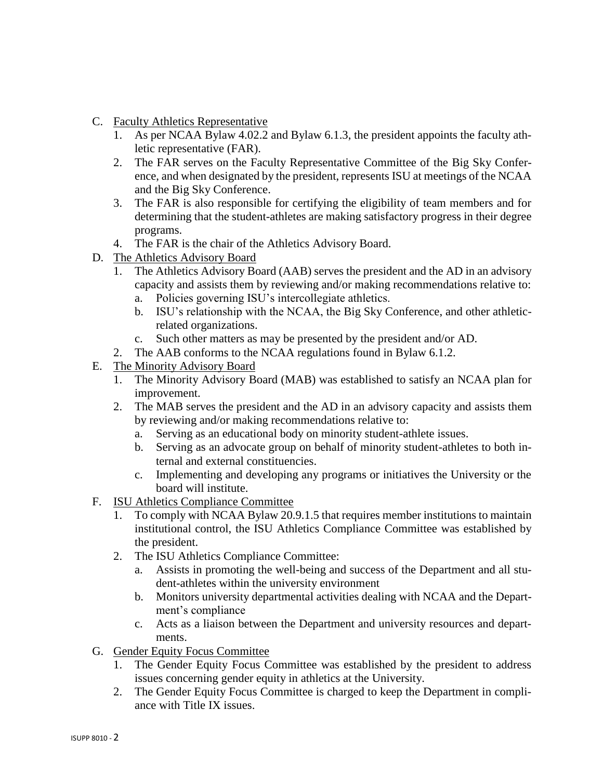- C. Faculty Athletics Representative
	- 1. As per NCAA Bylaw 4.02.2 and Bylaw 6.1.3, the president appoints the faculty athletic representative (FAR).
	- 2. The FAR serves on the Faculty Representative Committee of the Big Sky Conference, and when designated by the president, represents ISU at meetings of the NCAA and the Big Sky Conference.
	- 3. The FAR is also responsible for certifying the eligibility of team members and for determining that the student-athletes are making satisfactory progress in their degree programs.
	- 4. The FAR is the chair of the Athletics Advisory Board.
- D. The Athletics Advisory Board
	- 1. The Athletics Advisory Board (AAB) serves the president and the AD in an advisory capacity and assists them by reviewing and/or making recommendations relative to:
		- a. Policies governing ISU's intercollegiate athletics.
		- b. ISU's relationship with the NCAA, the Big Sky Conference, and other athleticrelated organizations.
		- c. Such other matters as may be presented by the president and/or AD.
	- 2. The AAB conforms to the NCAA regulations found in Bylaw 6.1.2.
- E. The Minority Advisory Board
	- 1. The Minority Advisory Board (MAB) was established to satisfy an NCAA plan for improvement.
	- 2. The MAB serves the president and the AD in an advisory capacity and assists them by reviewing and/or making recommendations relative to:
		- a. Serving as an educational body on minority student-athlete issues.
		- b. Serving as an advocate group on behalf of minority student-athletes to both internal and external constituencies.
		- c. Implementing and developing any programs or initiatives the University or the board will institute.
- F. ISU Athletics Compliance Committee
	- 1. To comply with NCAA Bylaw 20.9.1.5 that requires member institutions to maintain institutional control, the ISU Athletics Compliance Committee was established by the president.
	- 2. The ISU Athletics Compliance Committee:
		- a. Assists in promoting the well-being and success of the Department and all student-athletes within the university environment
		- b. Monitors university departmental activities dealing with NCAA and the Department's compliance
		- c. Acts as a liaison between the Department and university resources and departments.
- G. Gender Equity Focus Committee
	- 1. The Gender Equity Focus Committee was established by the president to address issues concerning gender equity in athletics at the University.
	- 2. The Gender Equity Focus Committee is charged to keep the Department in compliance with Title IX issues.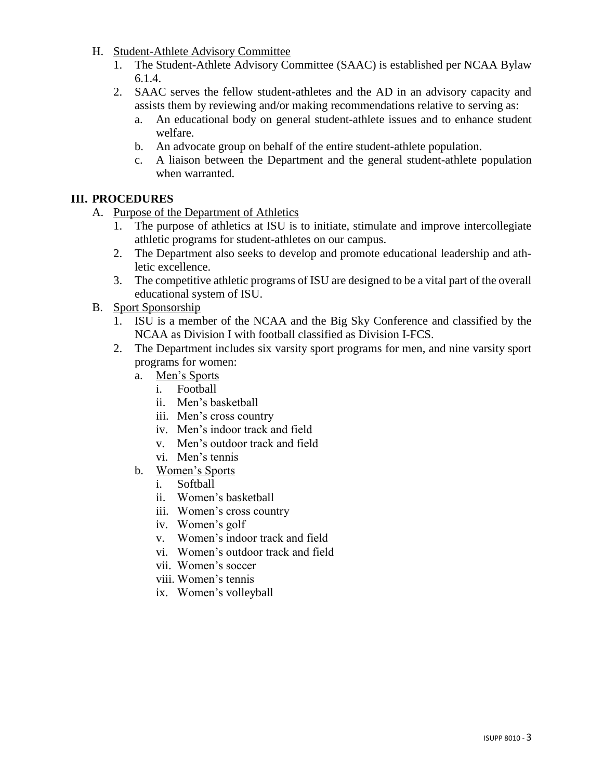- H. Student-Athlete Advisory Committee
	- 1. The Student-Athlete Advisory Committee (SAAC) is established per NCAA Bylaw 6.1.4.
	- 2. SAAC serves the fellow student-athletes and the AD in an advisory capacity and assists them by reviewing and/or making recommendations relative to serving as:
		- a. An educational body on general student-athlete issues and to enhance student welfare.
		- b. An advocate group on behalf of the entire student-athlete population.
		- c. A liaison between the Department and the general student-athlete population when warranted.

## **III. PROCEDURES**

- A. Purpose of the Department of Athletics
	- 1. The purpose of athletics at ISU is to initiate, stimulate and improve intercollegiate athletic programs for student-athletes on our campus.
	- 2. The Department also seeks to develop and promote educational leadership and athletic excellence.
	- 3. The competitive athletic programs of ISU are designed to be a vital part of the overall educational system of ISU.
- B. Sport Sponsorship
	- 1. ISU is a member of the NCAA and the Big Sky Conference and classified by the NCAA as Division I with football classified as Division I-FCS.
	- 2. The Department includes six varsity sport programs for men, and nine varsity sport programs for women:
		- a. Men's Sports
			- i. Football
			- ii. Men's basketball
			- iii. Men's cross country
			- iv. Men's indoor track and field
			- v. Men's outdoor track and field
			- vi. Men's tennis
		- b. Women's Sports
			- i. Softball
			- ii. Women's basketball
			- iii. Women's cross country
			- iv. Women's golf
			- v. Women's indoor track and field
			- vi. Women's outdoor track and field
			- vii. Women's soccer
			- viii. Women's tennis
			- ix. Women's volleyball